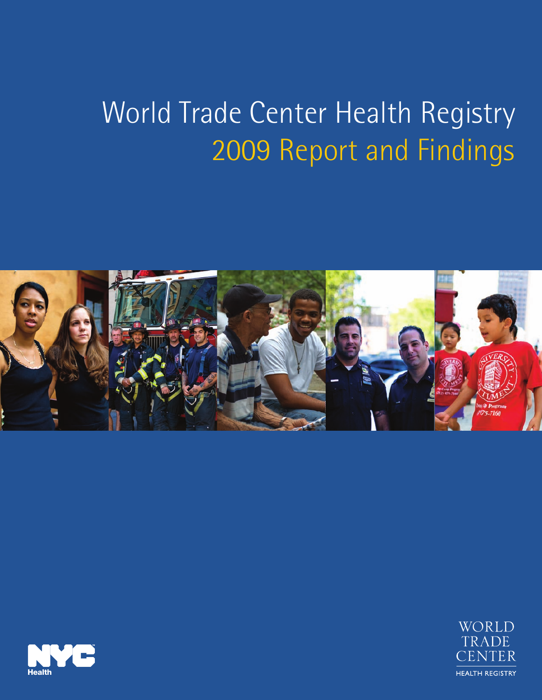# World Trade Center Health Registry 2009 Report and Findings





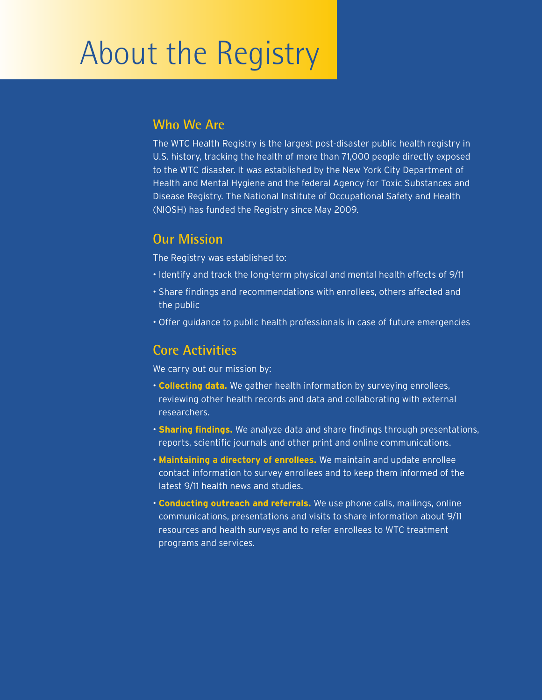# About the Registry

#### **Who We Are**

The WTC Health Registry is the largest post-disaster public health registry in U.S. history, tracking the health of more than 71,000 people directly exposed to the WTC disaster. It was established by the New York City Department of Health and Mental Hygiene and the federal Agency for Toxic Substances and Disease Registry. The National Institute of Occupational Safety and Health (NIOSH) has funded the Registry since May 2009.

#### **Our Mission**

The Registry was established to:

- Identify and track the long-term physical and mental health effects of 9/11
- Share findings and recommendations with enrollees, others affected and the public
- Offer guidance to public health professionals in case of future emergencies

#### **Core Activities**

We carry out our mission by:

- **Collecting data.** We gather health information by surveying enrollees, reviewing other health records and data and collaborating with external researchers.
- **Sharing findings.** We analyze data and share findings through presentations, reports, scientific journals and other print and online communications.
- **Maintaining a directory of enrollees.** We maintain and update enrollee contact information to survey enrollees and to keep them informed of the latest 9/11 health news and studies.
- **Conducting outreach and referrals.** We use phone calls, mailings, online communications, presentations and visits to share information about 9/11 resources and health surveys and to refer enrollees to WTC treatment programs and services.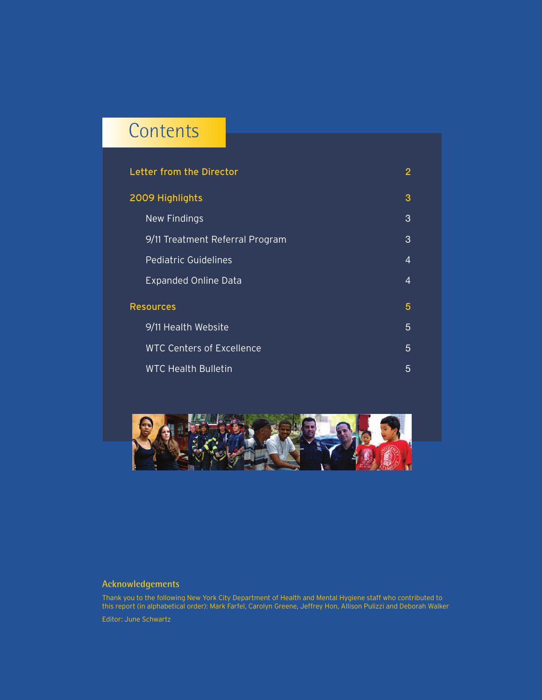## **Contents**

| <b>Letter from the Director</b>  | 2              |
|----------------------------------|----------------|
| 2009 Highlights                  | 3              |
| <b>New Findings</b>              | 3              |
| 9/11 Treatment Referral Program  | 3              |
| <b>Pediatric Guidelines</b>      | $\overline{4}$ |
| <b>Expanded Online Data</b>      | 4              |
| <b>Resources</b>                 | 5              |
| 9/11 Health Website              | 5              |
| <b>WTC Centers of Excellence</b> | 5              |
| <b>WTC Health Bulletin</b>       | 5              |



#### **Acknowledgements**

Thank you to the following New York City Department of Health and Mental Hygiene staff who contributed to this report (in alphabetical order): Mark Farfel, Carolyn Greene, Jeffrey Hon, Allison Pulizzi and Deborah Walker Editor: June Schwartz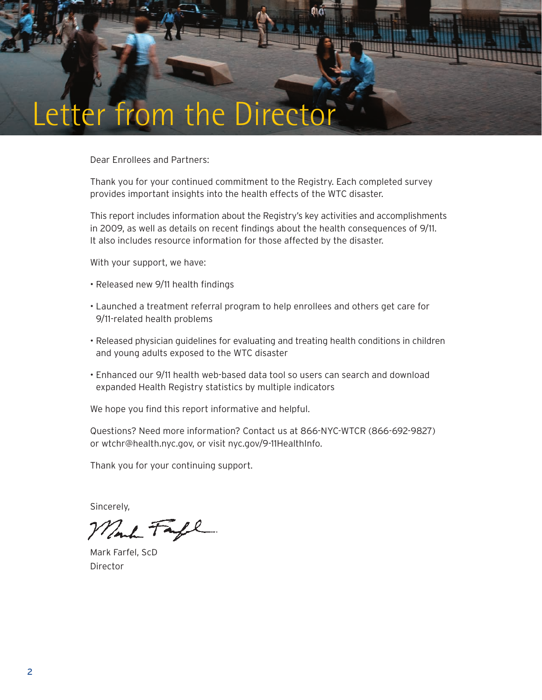

Dear Enrollees and Partners:

Thank you for your continued commitment to the Registry. Each completed survey provides important insights into the health effects of the WTC disaster.

This report includes information about the Registry's key activities and accomplishments in 2009, as well as details on recent findings about the health consequences of 9/11. It also includes resource information for those affected by the disaster.

With your support, we have:

- Released new 9/11 health findings
- Launched a treatment referral program to help enrollees and others get care for 9/11-related health problems
- Released physician guidelines for evaluating and treating health conditions in children and young adults exposed to the WTC disaster
- Enhanced our 9/11 health web-based data tool so users can search and download expanded Health Registry statistics by multiple indicators

We hope you find this report informative and helpful.

Questions? Need more information? Contact us at 866-NYC-WTCR (866-692-9827) or wtchr@health.nyc.gov, or visit nyc.gov/9-11HealthInfo.

Thank you for your continuing support.

Sincerely,

Mont Fafe

Mark Farfel, ScD Director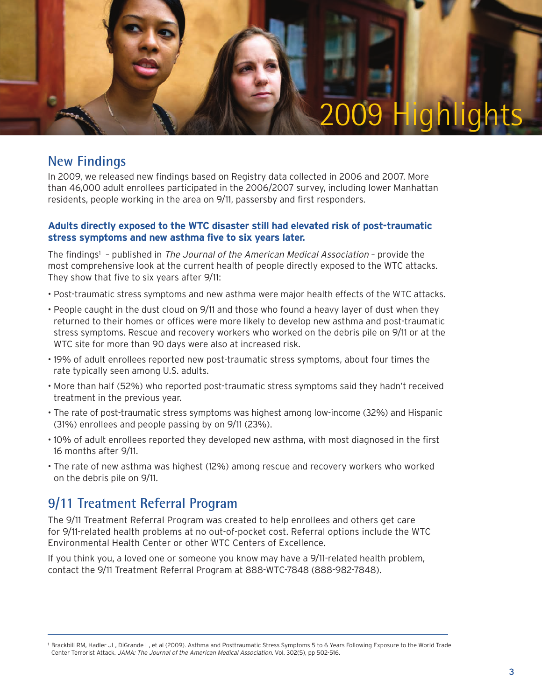

#### **New Findings**

In 2009, we released new findings based on Registry data collected in 2006 and 2007. More than 46,000 adult enrollees participated in the 2006/2007 survey, including lower Manhattan residents, people working in the area on 9/11, passersby and first responders.

#### **Adults directly exposed to the WTC disaster still had elevated risk of post-traumatic stress symptoms and new asthma five to six years later.**

The findings<sup>1</sup> – published in *The Journal of the American Medical Association* – provide the most comprehensive look at the current health of people directly exposed to the WTC attacks. They show that five to six years after 9/11:

- Post-traumatic stress symptoms and new asthma were major health effects of the WTC attacks.
- People caught in the dust cloud on 9/11 and those who found a heavy layer of dust when they returned to their homes or offices were more likely to develop new asthma and post-traumatic stress symptoms. Rescue and recovery workers who worked on the debris pile on 9/11 or at the WTC site for more than 90 days were also at increased risk.
- 19% of adult enrollees reported new post-traumatic stress symptoms, about four times the rate typically seen among U.S. adults.
- More than half (52%) who reported post-traumatic stress symptoms said they hadn't received treatment in the previous year.
- The rate of post-traumatic stress symptoms was highest among low-income (32%) and Hispanic (31%) enrollees and people passing by on 9/11 (23%).
- 10% of adult enrollees reported they developed new asthma, with most diagnosed in the first 16 months after 9/11.
- The rate of new asthma was highest (12%) among rescue and recovery workers who worked on the debris pile on 9/11.

#### **9/11 Treatment Referral Program**

The 9/11 Treatment Referral Program was created to help enrollees and others get care for 9/11-related health problems at no out-of-pocket cost. Referral options include the WTC Environmental Health Center or other WTC Centers of Excellence.

If you think you, a loved one or someone you know may have a 9/11-related health problem, contact the 9/11 Treatment Referral Program at 888-WTC-7848 (888-982-7848).

<sup>1</sup> Brackbill RM, Hadler JL, DiGrande L, et al (2009). Asthma and Posttraumatic Stress Symptoms 5 to 6 Years Following Exposure to the World Trade Center Terrorist Attack. JAMA: The Journal of the American Medical Association. Vol. 302(5), pp 502-516.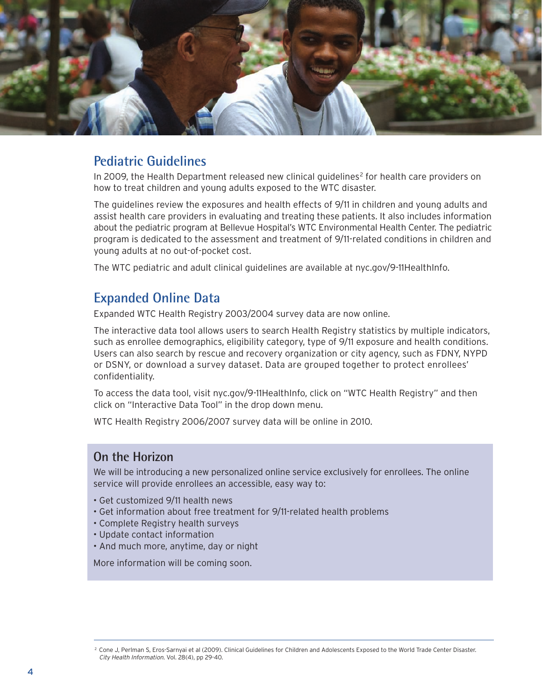

#### **Pediatric Guidelines**

In 2009, the Health Department released new clinical guidelines<sup>2</sup> for health care providers on how to treat children and young adults exposed to the WTC disaster.

The guidelines review the exposures and health effects of 9/11 in children and young adults and assist health care providers in evaluating and treating these patients. It also includes information about the pediatric program at Bellevue Hospital's WTC Environmental Health Center. The pediatric program is dedicated to the assessment and treatment of 9/11-related conditions in children and young adults at no out-of-pocket cost.

The WTC pediatric and adult clinical guidelines are available at nyc.gov/9-11HealthInfo.

#### **Expanded Online Data**

Expanded WTC Health Registry 2003/2004 survey data are now online.

The interactive data tool allows users to search Health Registry statistics by multiple indicators, such as enrollee demographics, eligibility category, type of 9/11 exposure and health conditions. Users can also search by rescue and recovery organization or city agency, such as FDNY, NYPD or DSNY, or download a survey dataset. Data are grouped together to protect enrollees' confidentiality.

To access the data tool, visit nyc.gov/9-11HealthInfo, click on "WTC Health Registry" and then click on "Interactive Data Tool" in the drop down menu.

WTC Health Registry 2006/2007 survey data will be online in 2010.

#### **On the Horizon**

We will be introducing a new personalized online service exclusively for enrollees. The online service will provide enrollees an accessible, easy way to:

- Get customized 9/11 health news
- Get information about free treatment for 9/11-related health problems
- Complete Registry health surveys
- Update contact information
- And much more, anytime, day or night

More information will be coming soon.

<sup>2</sup> Cone J, Perlman S, Eros-Sarnyai et al (2009). Clinical Guidelines for Children and Adolescents Exposed to the World Trade Center Disaster. City Health Information. Vol. 28(4), pp 29-40.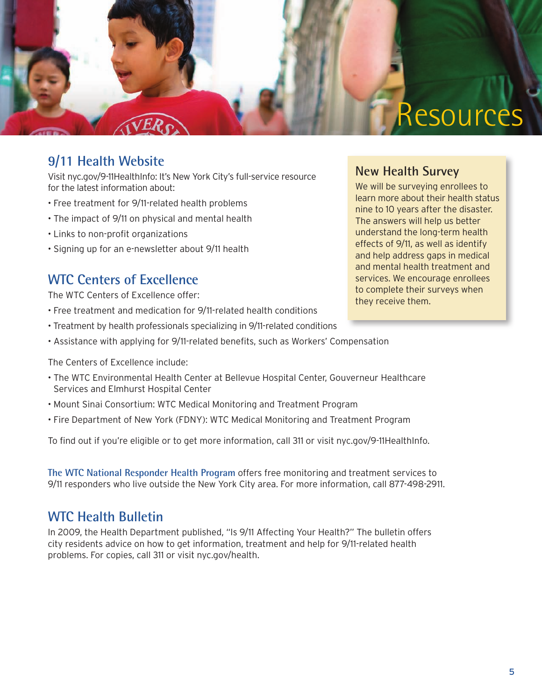

### **9/11 Health Website**

Visit nyc.gov/9-11HealthInfo: It's New York City's full-service resource for the latest information about:

- Free treatment for 9/11-related health problems
- The impact of 9/11 on physical and mental health
- Links to non-profit organizations
- Signing up for an e-newsletter about 9/11 health

#### **WTC Centers of Excellence**

The WTC Centers of Excellence offer:

- Free treatment and medication for 9/11-related health conditions
- Treatment by health professionals specializing in 9/11-related conditions
- Assistance with applying for 9/11-related benefits, such as Workers' Compensation

The Centers of Excellence include:

- The WTC Environmental Health Center at Bellevue Hospital Center, Gouverneur Healthcare Services and Elmhurst Hospital Center
- Mount Sinai Consortium: WTC Medical Monitoring and Treatment Program
- Fire Department of New York (FDNY): WTC Medical Monitoring and Treatment Program

To find out if you're eligible or to get more information, call 311 or visit nyc.gov/9-11HealthInfo.

**The WTC National Responder Health Program** offers free monitoring and treatment services to 9/11 responders who live outside the New York City area. For more information, call 877-498-2911.

### **WTC Health Bulletin**

In 2009, the Health Department published, "Is 9/11 Affecting Your Health?" The bulletin offers city residents advice on how to get information, treatment and help for 9/11-related health problems. For copies, call 311 or visit nyc.gov/health.

#### **New Health Survey**

We will be surveying enrollees to learn more about their health status nine to 10 years after the disaster. The answers will help us better understand the long-term health effects of 9/11, as well as identify and help address gaps in medical and mental health treatment and services. We encourage enrollees to complete their surveys when they receive them.